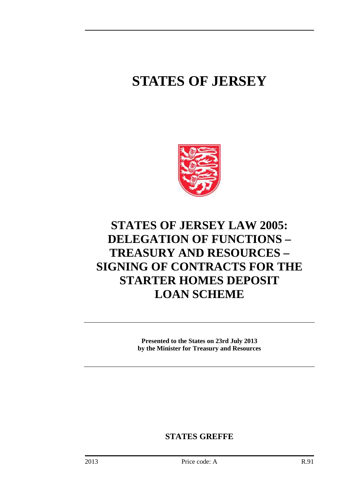# **STATES OF JERSEY**



## **STATES OF JERSEY LAW 2005: DELEGATION OF FUNCTIONS – TREASURY AND RESOURCES – SIGNING OF CONTRACTS FOR THE STARTER HOMES DEPOSIT LOAN SCHEME**

**Presented to the States on 23rd July 2013 by the Minister for Treasury and Resources** 

**STATES GREFFE**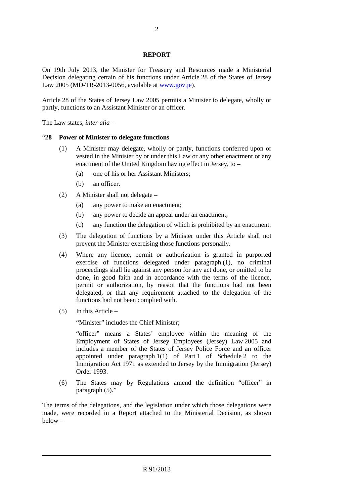#### **REPORT**

On 19th July 2013, the Minister for Treasury and Resources made a Ministerial Decision delegating certain of his functions under Article 28 of the States of Jersey Law 2005 (MD-TR-2013-0056, available at www.gov.je).

Article 28 of the States of Jersey Law 2005 permits a Minister to delegate, wholly or partly, functions to an Assistant Minister or an officer.

The Law states, *inter alia* –

#### "**28 Power of Minister to delegate functions**

- (1) A Minister may delegate, wholly or partly, functions conferred upon or vested in the Minister by or under this Law or any other enactment or any enactment of the United Kingdom having effect in Jersey, to –
	- (a) one of his or her Assistant Ministers;
	- (b) an officer.
- (2) A Minister shall not delegate
	- (a) any power to make an enactment;
	- (b) any power to decide an appeal under an enactment;
	- (c) any function the delegation of which is prohibited by an enactment.
- (3) The delegation of functions by a Minister under this Article shall not prevent the Minister exercising those functions personally.
- (4) Where any licence, permit or authorization is granted in purported exercise of functions delegated under paragraph (1), no criminal proceedings shall lie against any person for any act done, or omitted to be done, in good faith and in accordance with the terms of the licence, permit or authorization, by reason that the functions had not been delegated, or that any requirement attached to the delegation of the functions had not been complied with.
- (5) In this Article –

"Minister" includes the Chief Minister;

"officer" means a States' employee within the meaning of the Employment of States of Jersey Employees (Jersey) Law 2005 and includes a member of the States of Jersey Police Force and an officer appointed under paragraph 1(1) of Part 1 of Schedule 2 to the Immigration Act 1971 as extended to Jersey by the Immigration (Jersey) Order 1993.

(6) The States may by Regulations amend the definition "officer" in paragraph (5)."

The terms of the delegations, and the legislation under which those delegations were made, were recorded in a Report attached to the Ministerial Decision, as shown below –